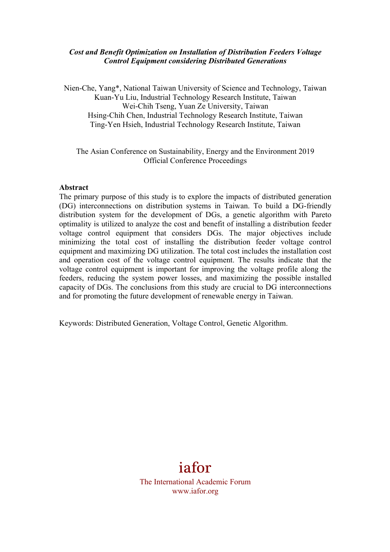### *Cost and Benefit Optimization on Installation of Distribution Feeders Voltage Control Equipment considering Distributed Generations*

Nien-Che, Yang\*, National Taiwan University of Science and Technology, Taiwan Kuan-Yu Liu, Industrial Technology Research Institute, Taiwan Wei-Chih Tseng, Yuan Ze University, Taiwan Hsing-Chih Chen, Industrial Technology Research Institute, Taiwan Ting-Yen Hsieh, Industrial Technology Research Institute, Taiwan

The Asian Conference on Sustainability, Energy and the Environment 2019 Official Conference Proceedings

### **Abstract**

The primary purpose of this study is to explore the impacts of distributed generation (DG) interconnections on distribution systems in Taiwan. To build a DG-friendly distribution system for the development of DGs, a genetic algorithm with Pareto optimality is utilized to analyze the cost and benefit of installing a distribution feeder voltage control equipment that considers DGs. The major objectives include minimizing the total cost of installing the distribution feeder voltage control equipment and maximizing DG utilization. The total cost includes the installation cost and operation cost of the voltage control equipment. The results indicate that the voltage control equipment is important for improving the voltage profile along the feeders, reducing the system power losses, and maximizing the possible installed capacity of DGs. The conclusions from this study are crucial to DG interconnections and for promoting the future development of renewable energy in Taiwan.

Keywords: Distributed Generation, Voltage Control, Genetic Algorithm.

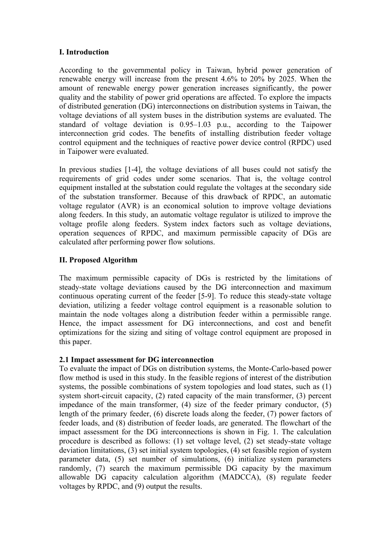# **I. Introduction**

According to the governmental policy in Taiwan, hybrid power generation of renewable energy will increase from the present 4.6% to 20% by 2025. When the amount of renewable energy power generation increases significantly, the power quality and the stability of power grid operations are affected. To explore the impacts of distributed generation (DG) interconnections on distribution systems in Taiwan, the voltage deviations of all system buses in the distribution systems are evaluated. The standard of voltage deviation is 0.95–1.03 p.u., according to the Taipower interconnection grid codes. The benefits of installing distribution feeder voltage control equipment and the techniques of reactive power device control (RPDC) used in Taipower were evaluated.

In previous studies [1-4], the voltage deviations of all buses could not satisfy the requirements of grid codes under some scenarios. That is, the voltage control equipment installed at the substation could regulate the voltages at the secondary side of the substation transformer. Because of this drawback of RPDC, an automatic voltage regulator (AVR) is an economical solution to improve voltage deviations along feeders. In this study, an automatic voltage regulator is utilized to improve the voltage profile along feeders. System index factors such as voltage deviations, operation sequences of RPDC, and maximum permissible capacity of DGs are calculated after performing power flow solutions.

# **II. Proposed Algorithm**

The maximum permissible capacity of DGs is restricted by the limitations of steady-state voltage deviations caused by the DG interconnection and maximum continuous operating current of the feeder [5-9]. To reduce this steady-state voltage deviation, utilizing a feeder voltage control equipment is a reasonable solution to maintain the node voltages along a distribution feeder within a permissible range. Hence, the impact assessment for DG interconnections, and cost and benefit optimizations for the sizing and siting of voltage control equipment are proposed in this paper.

### **2.1 Impact assessment for DG interconnection**

To evaluate the impact of DGs on distribution systems, the Monte-Carlo-based power flow method is used in this study. In the feasible regions of interest of the distribution systems, the possible combinations of system topologies and load states, such as (1) system short-circuit capacity, (2) rated capacity of the main transformer, (3) percent impedance of the main transformer, (4) size of the feeder primary conductor, (5) length of the primary feeder, (6) discrete loads along the feeder, (7) power factors of feeder loads, and (8) distribution of feeder loads, are generated. The flowchart of the impact assessment for the DG interconnections is shown in Fig. 1. The calculation procedure is described as follows: (1) set voltage level, (2) set steady-state voltage deviation limitations, (3) set initial system topologies, (4) set feasible region of system parameter data, (5) set number of simulations, (6) initialize system parameters randomly, (7) search the maximum permissible DG capacity by the maximum allowable DG capacity calculation algorithm (MADCCA), (8) regulate feeder voltages by RPDC, and (9) output the results.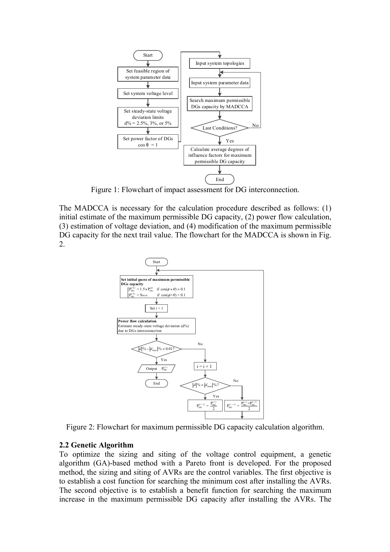

Figure 1: Flowchart of impact assessment for DG interconnection.

The MADCCA is necessary for the calculation procedure described as follows: (1) initial estimate of the maximum permissible DG capacity, (2) power flow calculation, (3) estimation of voltage deviation, and (4) modification of the maximum permissible DG capacity for the next trail value. The flowchart for the MADCCA is shown in Fig. 2.



Figure 2: Flowchart for maximum permissible DG capacity calculation algorithm.

### **2.2 Genetic Algorithm**

To optimize the sizing and siting of the voltage control equipment, a genetic algorithm (GA)-based method with a Pareto front is developed. For the proposed method, the sizing and siting of AVRs are the control variables. The first objective is to establish a cost function for searching the minimum cost after installing the AVRs. The second objective is to establish a benefit function for searching the maximum increase in the maximum permissible DG capacity after installing the AVRs. The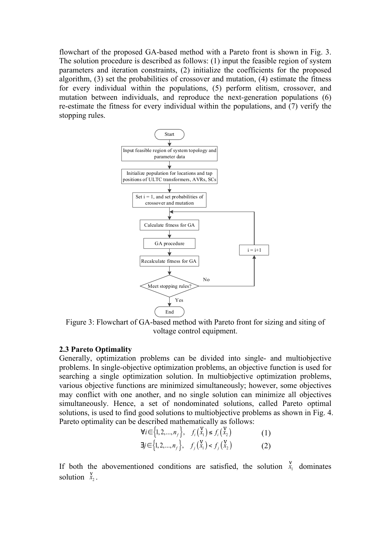flowchart of the proposed GA-based method with a Pareto front is shown in Fig. 3. The solution procedure is described as follows: (1) input the feasible region of system parameters and iteration constraints, (2) initialize the coefficients for the proposed algorithm, (3) set the probabilities of crossover and mutation, (4) estimate the fitness for every individual within the populations, (5) perform elitism, crossover, and mutation between individuals, and reproduce the next-generation populations (6) re-estimate the fitness for every individual within the populations, and (7) verify the stopping rules.



Figure 3: Flowchart of GA-based method with Pareto front for sizing and siting of voltage control equipment.

#### **2.3 Pareto Optimality**

Generally, optimization problems can be divided into single- and multiobjective problems. In single-objective optimization problems, an objective function is used for searching a single optimization solution. In multiobjective optimization problems, various objective functions are minimized simultaneously; however, some objectives may conflict with one another, and no single solution can minimize all objectives simultaneously. Hence, a set of nondominated solutions, called Pareto optimal solutions, is used to find good solutions to multiobjective problems as shown in Fig. 4. Pareto optimality can be described mathematically as follows:

$$
\forall i \in \{1, 2, ..., n_f\}, \quad f_i\left(\frac{V}{x_1}\right) \le f_i\left(\frac{V}{x_2}\right) \tag{1}
$$
\n
$$
\exists j \in \{1, 2, ..., n_f\}, \quad f_j\left(\frac{V}{x_1}\right) < f_j\left(\frac{V}{x_2}\right) \tag{2}
$$

If both the abovementioned conditions are satisfied, the solution  $\overline{x}_1^V$  dominates solution  $\begin{bmatrix} V \\ x_2 \end{bmatrix}$ .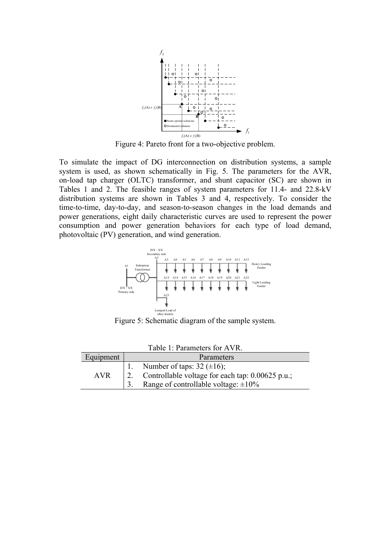

Figure 4: Pareto front for a two-objective problem.

To simulate the impact of DG interconnection on distribution systems, a sample system is used, as shown schematically in Fig. 5. The parameters for the AVR, on-load tap charger (OLTC) transformer, and shunt capacitor (SC) are shown in Tables 1 and 2. The feasible ranges of system parameters for 11.4- and 22.8-kV distribution systems are shown in Tables 3 and 4, respectively. To consider the time-to-time, day-to-day, and season-to-season changes in the load demands and power generations, eight daily characteristic curves are used to represent the power consumption and power generation behaviors for each type of load demand, photovoltaic (PV) generation, and wind generation.



Figure 5: Schematic diagram of the sample system.

| Table 1: Parameters for AVR. |            |                                                       |  |  |  |  |
|------------------------------|------------|-------------------------------------------------------|--|--|--|--|
| Equipment                    | Parameters |                                                       |  |  |  |  |
|                              |            | 1. Number of taps: $32 \pm 16$ ;                      |  |  |  |  |
| <b>AVR</b>                   |            | 2. Controllable voltage for each tap: $0.00625$ p.u.; |  |  |  |  |
|                              |            | Range of controllable voltage: $\pm 10\%$             |  |  |  |  |

Table 1: Parameters for AVR.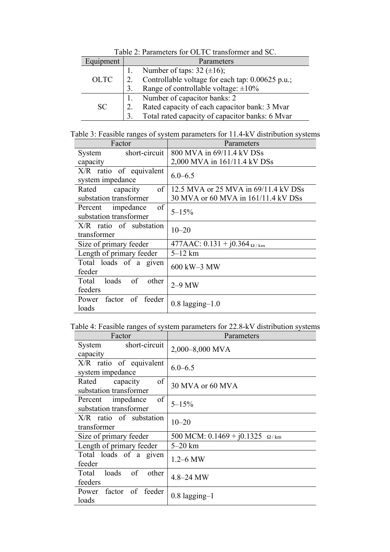| Equipment   |    | Parameters                                       |  |  |  |  |
|-------------|----|--------------------------------------------------|--|--|--|--|
|             |    | Number of taps: $32 \ (\pm 16)$ ;                |  |  |  |  |
| <b>OLTC</b> |    | Controllable voltage for each tap: 0.00625 p.u.; |  |  |  |  |
|             |    | Range of controllable voltage: $\pm 10\%$        |  |  |  |  |
|             |    | Number of capacitor banks: 2                     |  |  |  |  |
| <b>SC</b>   |    | Rated capacity of each capacitor bank: 3 Mvar    |  |  |  |  |
|             | 3. | Total rated capacity of capacitor banks: 6 Mvar  |  |  |  |  |

Table 2: Parameters for OLTC transformer and SC.

|  |  |  |  |  | Table 3: Feasible ranges of system parameters for 11.4-kV distribution systems |  |
|--|--|--|--|--|--------------------------------------------------------------------------------|--|
|  |  |  |  |  |                                                                                |  |

| Factor                                            | Parameters                           |  |  |  |  |
|---------------------------------------------------|--------------------------------------|--|--|--|--|
| short-circuit<br>System                           | 800 MVA in 69/11.4 kV DSs            |  |  |  |  |
| capacity                                          | 2,000 MVA in 161/11.4 kV DSs         |  |  |  |  |
| $X/R$ ratio of equivalent<br>system impedance     | $6.0 - 6.5$                          |  |  |  |  |
| of<br>Rated<br>capacity                           | 12.5 MVA or 25 MVA in 69/11.4 kV DSs |  |  |  |  |
| substation transformer                            | 30 MVA or 60 MVA in 161/11.4 kV DSs  |  |  |  |  |
| of<br>Percent impedance<br>substation transformer | $5 - 15%$                            |  |  |  |  |
| $X/R$ ratio of substation<br>transformer          | $10 - 20$                            |  |  |  |  |
| Size of primary feeder                            | 477AAC: $0.131 + j0.364$ $\Omega/km$ |  |  |  |  |
| Length of primary feeder                          | $5-12$ km                            |  |  |  |  |
| Total loads of a given<br>feeder                  | 600 kW-3 MW                          |  |  |  |  |
| of<br>loads<br>other<br>Total<br>feeders          | $2-9$ MW                             |  |  |  |  |
| factor of feeder<br>Power<br>loads                | $0.8 \; \text{lagging} - 1.0$        |  |  |  |  |

Table 4: Feasible ranges of system parameters for 22.8-kV distribution systems

| Factor                                            | Parameters                              |  |  |  |
|---------------------------------------------------|-----------------------------------------|--|--|--|
| short-circuit<br>System<br>capacity               | 2,000-8,000 MVA                         |  |  |  |
| X/R ratio of equivalent<br>system impedance       | $6.0 - 6.5$                             |  |  |  |
| of<br>capacity<br>Rated<br>substation transformer | 30 MVA or 60 MVA                        |  |  |  |
| of<br>Percent impedance<br>substation transformer | $5 - 15%$                               |  |  |  |
| $X/R$ ratio of substation<br>transformer          | $10 - 20$                               |  |  |  |
| Size of primary feeder                            | 500 MCM: $0.1469 + j0.1325$ $\Omega/km$ |  |  |  |
| Length of primary feeder                          | $5-20$ km                               |  |  |  |
| Total loads of a given<br>feeder                  | $1.2 - 6$ MW                            |  |  |  |
| of<br>loads<br>other<br>Total<br>feeders          | 4.8-24 MW                               |  |  |  |
| Power factor of feeder<br>loads                   | $0.8$ lagging-1                         |  |  |  |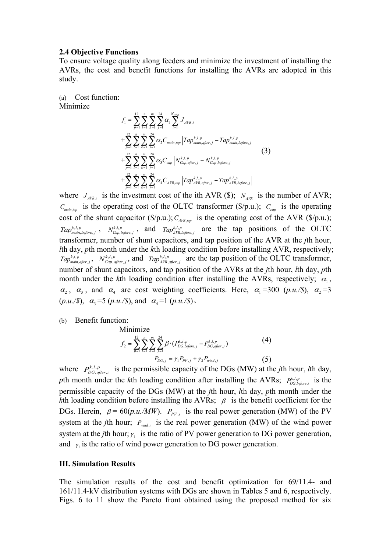#### **2.4 Objective Functions**

To ensure voltage quality along feeders and minimize the investment of installing the AVRs, the cost and benefit functions for installing the AVRs are adopted in this study.

(a) Cost function: Minimize

$$
f_{1} = \sum_{p=1}^{12} \sum_{l=1}^{n} \sum_{k=1}^{m} \sum_{j=1}^{24} \alpha_{1} \sum_{i=1}^{N_{diff}} J_{AFR,i}
$$
  
+
$$
\sum_{p=1}^{12} \sum_{l=1}^{n} \sum_{k=1}^{m} \sum_{j=1}^{24} \alpha_{2} C_{main, tap} |Tap_{main, after,j}^{k,l,p} - Tap_{main, before,j}^{k,l,p}|
$$
  
+
$$
\sum_{p=1}^{12} \sum_{l=1}^{n} \sum_{k=1}^{m} \sum_{j=1}^{24} \alpha_{3} C_{cap} |N_{cap, after,j}^{k,l,p} - N_{cap, before,j}^{k,l,p}|
$$
  
+
$$
\sum_{p=1}^{12} \sum_{l=1}^{n} \sum_{k=1}^{m} \sum_{j=1}^{24} \alpha_{4} C_{AFR, tap} |Tap_{AFR, after,j}^{k,l,p} - Tap_{AFR, before,j}^{k,l,p}|
$$
(3)

where  $J_{AVR,i}$  is the investment cost of the ith AVR (\$);  $N_{AVR}$  is the number of AVR;  $C_{\text{main, tag}}$  is the operating cost of the OLTC transformer (\$/p.u.);  $C_{\text{cap}}$  is the operating cost of the shunt capacitor  $(\frac{C}{p.u.})$ ;  $C_{AVR, tan}$  is the operating cost of the AVR  $(\frac{C}{p.u.})$ ;  $Tap_{main, before, j}^{k,l,p}$ ,  $N_{Cap, before, j}^{k,l,p}$ , and  $Tap_{AVR, before, j}^{k,l,p}$  are the tap positions of the OLTC transformer, number of shunt capacitors, and tap position of the AVR at the *j*th hour, *lth day, pth month under the <i>kth* loading condition before installing AVR, respectively;  $Tap_{main, after, j}^{k,l,p}$ ,  $N_{Cap, after, j}^{k,l,p}$ , and  $Tap_{AVR, after, j}^{k,l,p}$  are the tap position of the OLTC transformer, number of shunt capacitors, and tap position of the AVRs at the *j*th hour, *l*th day, *p*th month under the *k*th loading condition after installing the AVRs, respectively;  $\alpha_1$ ,  $\alpha_2$ ,  $\alpha_3$ , and  $\alpha_4$  are cost weighting coefficients. Here,  $\alpha_1 = 300$  (*p.u./\$*),  $\alpha_2 = 3$  $(p.u./\text{\textdegree}), \ \alpha_3 = 5 \ (p.u./\text{\textdegree}), \text{ and } \ \alpha_4 = 1 \ (p.u./\text{\textdegree}).$ 

(b) Benefit function:

Minimize

$$
f_2 = \sum_{p=1}^{12} \sum_{t=1}^{n} \sum_{s=1}^{m} \sum_{j=1}^{24} \beta \cdot (P_{DG, before,j}^{k,l,p} - P_{DG, after,j}^{k,l,p})
$$
(4)  

$$
P_{DG,j} = \gamma_1 P_{PV,j} + \gamma_2 P_{wind,j}
$$
(5)

where  $P_{DG, after, i}^{k,l,p}$  is the permissible capacity of the DGs (MW) at the *j*th hour, *l*th day, pth month under the *k*th loading condition after installing the AVRs;  $P_{DG, before,i}^{k,l,p}$  is the permissible capacity of the DGs (MW) at the *j*th hour, *l*th day, *p*th month under the *k*th loading condition before installing the AVRs;  $\beta$  is the benefit coefficient for the DGs. Herein,  $\beta = 60(p.u./MW)$ .  $P_{PV,i}$  is the real power generation (MW) of the PV system at the *j*th hour;  $P_{wind,i}$  is the real power generation (MW) of the wind power system at the *j*th hour;  $\gamma_1$  is the ratio of PV power generation to DG power generation, and  $\gamma$ , is the ratio of wind power generation to DG power generation.

#### **III. Simulation Results**

The simulation results of the cost and benefit optimization for 69/11.4- and 161/11.4-kV distribution systems with DGs are shown in Tables 5 and 6, respectively. Figs. 6 to 11 show the Pareto front obtained using the proposed method for six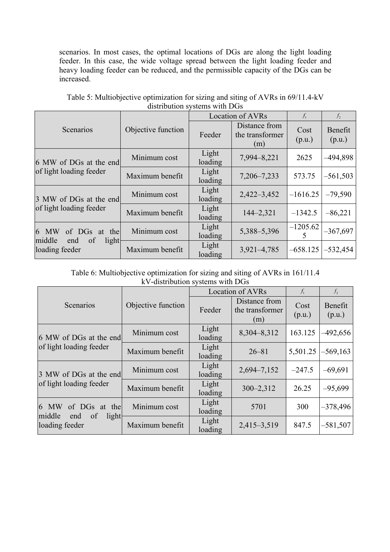scenarios. In most cases, the optimal locations of DGs are along the light loading feeder. In this case, the wide voltage spread between the light loading feeder and heavy loading feeder can be reduced, and the permissible capacity of the DGs can be increased.

|                                      |                    |                  | <b>Location of AVRs</b>                 | $f_1$          | $f_2$             |
|--------------------------------------|--------------------|------------------|-----------------------------------------|----------------|-------------------|
| Scenarios                            | Objective function | Feeder           | Distance from<br>the transformer<br>(m) | Cost<br>(p.u.) | Benefit<br>(p.u.) |
| 6 MW of DGs at the end               | Minimum cost       | Light<br>loading | 7,994-8,221                             | 2625           | -494,898          |
| of light loading feeder              | Maximum benefit    | Light<br>loading | 7,206-7,233                             | 573.75         | $-561,503$        |
| 3 MW of DGs at the end               | Minimum cost       | Light<br>loading | $2,422 - 3,452$                         | $-1616.25$     | $-79,590$         |
| of light loading feeder              | Maximum benefit    | Light<br>loading | $144 - 2,321$                           | $-1342.5$      | $-86,221$         |
| 6 MW<br>of DGs at the<br>middle      | Minimum cost       | Light<br>loading | 5,388-5,396                             | $-1205.62$     | $-367,697$        |
| of<br>light<br>end<br>loading feeder | Maximum benefit    | Light<br>loading | $3,921 - 4,785$                         | $-658.125$     | $-532,454$        |

Table 5: Multiobjective optimization for sizing and siting of AVRs in 69/11.4-kV distribution systems with DGs

Table 6: Multiobjective optimization for sizing and siting of AVRs in 161/11.4 kV-distribution systems with DGs

|                                                |                    |                  | <b>Location of AVRs</b>                 | $f_1$          | f <sub>2</sub>    |
|------------------------------------------------|--------------------|------------------|-----------------------------------------|----------------|-------------------|
| Scenarios                                      | Objective function | Feeder           | Distance from<br>the transformer<br>(m) | Cost<br>(p.u.) | Benefit<br>(p.u.) |
| 6 MW of DGs at the end                         | Minimum cost       | Light<br>loading | 8,304-8,312                             | 163.125        | $-492,656$        |
| of light loading feeder                        | Maximum benefit    | Light<br>loading | $26 - 81$                               | 5,501.25       | $-569,163$        |
| 3 MW of DGs at the end                         | Minimum cost       | Light<br>loading | 2,694-7,152                             | $-247.5$       | $-69,691$         |
| of light loading feeder                        | Maximum benefit    | Light<br>loading | $300 - 2,312$                           | 26.25          | $-95,699$         |
| 6 MW<br>of DGs at the                          | Minimum cost       | Light<br>loading | 5701                                    | 300            | $-378,496$        |
| middle<br>of<br>light<br>end<br>loading feeder | Maximum benefit    | Light<br>loading | 2,415-3,519                             | 847.5          | $-581,507$        |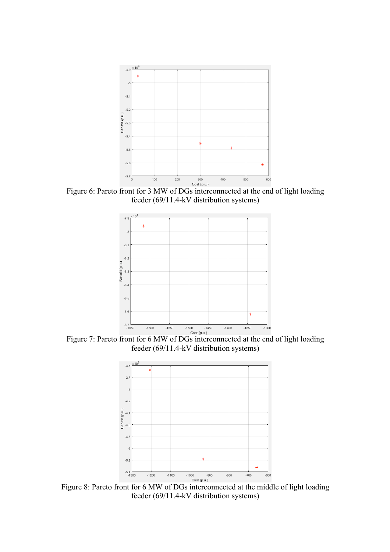

Figure 6: Pareto front for 3 MW of DGs interconnected at the end of light loading feeder (69/11.4-kV distribution systems)



Figure 7: Pareto front for 6 MW of DGs interconnected at the end of light loading feeder (69/11.4-kV distribution systems)



Figure 8: Pareto front for 6 MW of DGs interconnected at the middle of light loading feeder (69/11.4-kV distribution systems)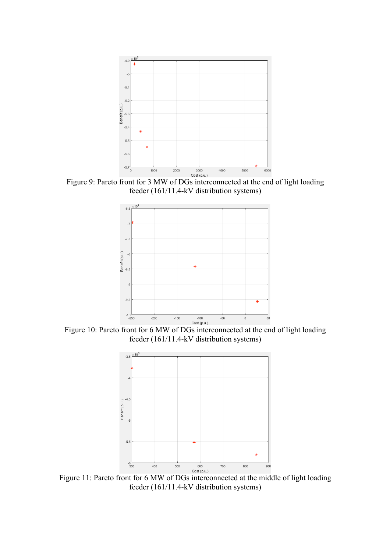

Figure 9: Pareto front for 3 MW of DGs interconnected at the end of light loading feeder (161/11.4-kV distribution systems)



Figure 10: Pareto front for 6 MW of DGs interconnected at the end of light loading feeder (161/11.4-kV distribution systems)



Figure 11: Pareto front for 6 MW of DGs interconnected at the middle of light loading feeder (161/11.4-kV distribution systems)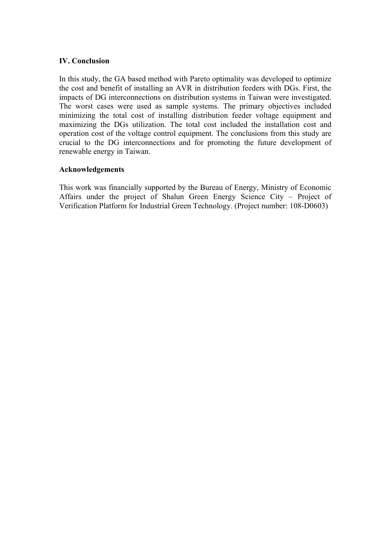### **IV. Conclusion**

In this study, the GA based method with Pareto optimality was developed to optimize the cost and benefit of installing an AVR in distribution feeders with DGs. First, the impacts of DG interconnections on distribution systems in Taiwan were investigated. The worst cases were used as sample systems. The primary objectives included minimizing the total cost of installing distribution feeder voltage equipment and maximizing the DGs utilization. The total cost included the installation cost and operation cost of the voltage control equipment. The conclusions from this study are crucial to the DG interconnections and for promoting the future development of renewable energy in Taiwan.

## **Acknowledgements**

This work was financially supported by the Bureau of Energy, Ministry of Economic Affairs under the project of Shalun Green Energy Science City – Project of Verification Platform for Industrial Green Technology. (Project number: 108-D0603)